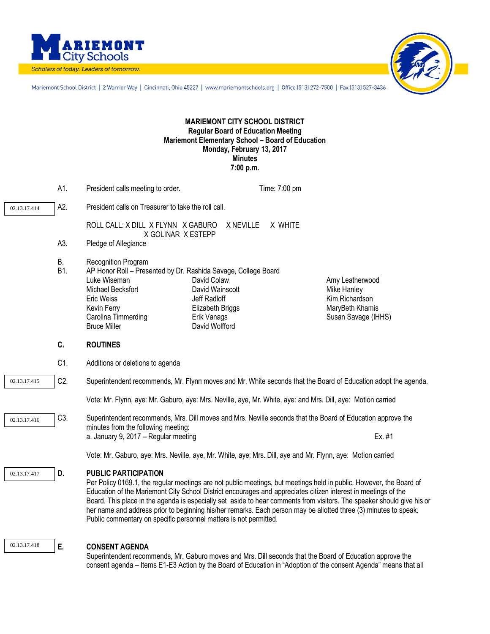



Mariemont School District | 2 Warrior Way | Cincinnati, Ohio 45227 | www.mariemontschools.org | Office (513) 272-7500 | Fax (513) 527-3436

## **MARIEMONT CITY SCHOOL DISTRICT Regular Board of Education Meeting Mariemont Elementary School – Board of Education Monday, February 13, 2017 Minutes 7:00 p.m.**

|                                  | A1.       | President calls meeting to order.                                                                                                                                                                                                                                                                                                      |                                                                                                     | Time: 7:00 pm |                                                                                                                                                                                                                                               |  |
|----------------------------------|-----------|----------------------------------------------------------------------------------------------------------------------------------------------------------------------------------------------------------------------------------------------------------------------------------------------------------------------------------------|-----------------------------------------------------------------------------------------------------|---------------|-----------------------------------------------------------------------------------------------------------------------------------------------------------------------------------------------------------------------------------------------|--|
| 02.13.17.414                     | A2.       | President calls on Treasurer to take the roll call.                                                                                                                                                                                                                                                                                    |                                                                                                     |               |                                                                                                                                                                                                                                               |  |
|                                  |           | ROLL CALL: X DILL X FLYNN X GABURO<br>X GOLINAR X ESTEPP                                                                                                                                                                                                                                                                               | X NEVILLE                                                                                           | X WHITE       |                                                                                                                                                                                                                                               |  |
|                                  | A3.       | Pledge of Allegiance                                                                                                                                                                                                                                                                                                                   |                                                                                                     |               |                                                                                                                                                                                                                                               |  |
|                                  | В.<br>B1. | Recognition Program<br>AP Honor Roll - Presented by Dr. Rashida Savage, College Board<br>Luke Wiseman<br>Michael Becksfort<br>Eric Weiss<br>Kevin Ferry<br>Carolina Timmerding<br><b>Bruce Miller</b>                                                                                                                                  | David Colaw<br>David Wainscott<br>Jeff Radloff<br>Elizabeth Briggs<br>Erik Vanags<br>David Wolfford |               | Amy Leatherwood<br>Mike Hanley<br>Kim Richardson<br>MaryBeth Khamis<br>Susan Savage (IHHS)                                                                                                                                                    |  |
|                                  | C.        | <b>ROUTINES</b>                                                                                                                                                                                                                                                                                                                        |                                                                                                     |               |                                                                                                                                                                                                                                               |  |
|                                  | C1.       | Additions or deletions to agenda                                                                                                                                                                                                                                                                                                       |                                                                                                     |               |                                                                                                                                                                                                                                               |  |
| C <sub>2</sub> .<br>02.13.17.415 |           | Superintendent recommends, Mr. Flynn moves and Mr. White seconds that the Board of Education adopt the agenda.                                                                                                                                                                                                                         |                                                                                                     |               |                                                                                                                                                                                                                                               |  |
|                                  |           | Vote: Mr. Flynn, aye: Mr. Gaburo, aye: Mrs. Neville, aye, Mr. White, aye: and Mrs. Dill, aye: Motion carried                                                                                                                                                                                                                           |                                                                                                     |               |                                                                                                                                                                                                                                               |  |
| 02.13.17.416                     | C3.       | Superintendent recommends, Mrs. Dill moves and Mrs. Neville seconds that the Board of Education approve the<br>minutes from the following meeting:                                                                                                                                                                                     |                                                                                                     |               |                                                                                                                                                                                                                                               |  |
|                                  |           | a. January 9, 2017 - Regular meeting                                                                                                                                                                                                                                                                                                   |                                                                                                     |               | Ex. #1                                                                                                                                                                                                                                        |  |
|                                  |           | Vote: Mr. Gaburo, aye: Mrs. Neville, aye, Mr. White, aye: Mrs. Dill, aye and Mr. Flynn, aye: Motion carried                                                                                                                                                                                                                            |                                                                                                     |               |                                                                                                                                                                                                                                               |  |
| 02.13.17.417                     | D.        | <b>PUBLIC PARTICIPATION</b><br>Education of the Mariemont City School District encourages and appreciates citizen interest in meetings of the<br>her name and address prior to beginning his/her remarks. Each person may be allotted three (3) minutes to speak.<br>Public commentary on specific personnel matters is not permitted. |                                                                                                     |               | Per Policy 0169.1, the regular meetings are not public meetings, but meetings held in public. However, the Board of<br>Board. This place in the agenda is especially set aside to hear comments from visitors. The speaker should give his or |  |

02.13.17.418

## **E. CONSENT AGENDA**

Superintendent recommends, Mr. Gaburo moves and Mrs. Dill seconds that the Board of Education approve the consent agenda – Items E1-E3 Action by the Board of Education in "Adoption of the consent Agenda" means that all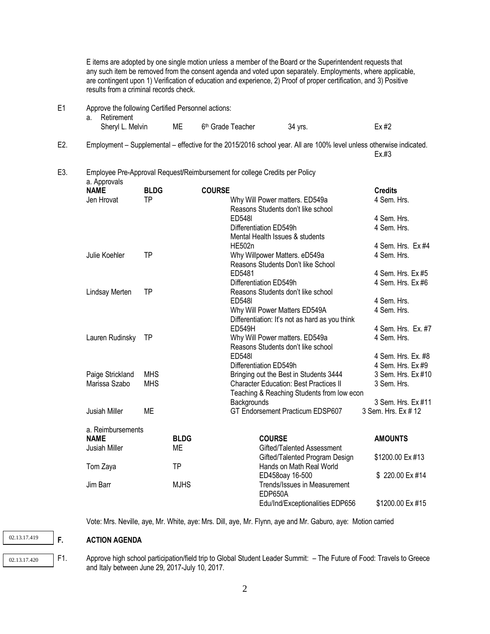E items are adopted by one single motion unless a member of the Board or the Superintendent requests that any such item be removed from the consent agenda and voted upon separately. Employments, where applicable, are contingent upon 1) Verification of education and experience, 2) Proof of proper certification, and 3) Positive results from a criminal records check.

E1 Approve the following Certified Personnel actions:

| a. Retirement    |                                  |         |         |
|------------------|----------------------------------|---------|---------|
| Sheryl L. Melvin | ME 6 <sup>th</sup> Grade Teacher | 34 vrs. | $Ex$ #2 |

E2. Employment – Supplemental – effective for the 2015/2016 school year. All are 100% level unless otherwise indicated. Ex.#3

## E3. Employee Pre-Approval Request**/**Reimbursement for college Credits per Policy a. Approvals

| a. Approvais<br><b>NAME</b>      | <b>BLDG</b> |             | <b>COURSE</b> |                                                | <b>Credits</b>      |
|----------------------------------|-------------|-------------|---------------|------------------------------------------------|---------------------|
| Jen Hrovat                       | TP          |             |               | Why Will Power matters. ED549a                 | 4 Sem. Hrs.         |
|                                  |             |             |               | Reasons Students don't like school             |                     |
|                                  |             |             |               | <b>ED548I</b>                                  | 4 Sem. Hrs.         |
|                                  |             |             |               | Differentiation ED549h                         | 4 Sem. Hrs.         |
|                                  |             |             |               | Mental Health Issues & students                |                     |
|                                  |             |             |               | <b>HE502n</b>                                  | 4 Sem. Hrs. Ex #4   |
| Julie Koehler                    | TP          |             |               | Why Willpower Matters. eD549a                  | 4 Sem. Hrs.         |
|                                  |             |             |               | Reasons Students Don't like School             |                     |
|                                  |             |             |               | ED5481                                         | 4 Sem. Hrs. Ex #5   |
|                                  |             |             |               | Differentiation ED549h                         | 4 Sem. Hrs. Ex #6   |
| Lindsay Merten                   | ΤP          |             |               | Reasons Students don't like school             |                     |
|                                  |             |             |               | <b>ED548I</b>                                  | 4 Sem. Hrs.         |
|                                  |             |             |               | Why Will Power Matters ED549A                  | 4 Sem. Hrs.         |
|                                  |             |             |               | Differentiation: It's not as hard as you think |                     |
|                                  |             |             |               | <b>ED549H</b>                                  | 4 Sem. Hrs. Ex. #7  |
| Lauren Rudinsky                  | <b>TP</b>   |             |               | Why Will Power matters. ED549a                 | 4 Sem. Hrs.         |
|                                  |             |             |               | Reasons Students don't like school             |                     |
|                                  |             |             |               | <b>ED548I</b>                                  | 4 Sem. Hrs. Ex. #8  |
|                                  |             |             |               | Differentiation ED549h                         | 4 Sem. Hrs. Ex #9   |
| Paige Strickland                 | <b>MHS</b>  |             |               | Bringing out the Best in Students 3444         | 3 Sem. Hrs. Ex #10  |
| Marissa Szabo                    | <b>MHS</b>  |             |               | <b>Character Education: Best Practices II</b>  | 3 Sem. Hrs.         |
|                                  |             |             |               | Teaching & Reaching Students from low econ     |                     |
|                                  |             |             |               | Backgrounds                                    | 3 Sem. Hrs. Ex #11  |
| Jusiah Miller                    | <b>ME</b>   |             |               | GT Endorsement Practicum EDSP607               | 3 Sem. Hrs. Ex # 12 |
|                                  |             |             |               |                                                |                     |
| a. Reimbursements<br><b>NAME</b> |             | <b>BLDG</b> |               | <b>COURSE</b>                                  |                     |
|                                  |             |             |               | Gifted/Talented Assessment                     | <b>AMOUNTS</b>      |
| Jusiah Miller                    |             | ME          |               |                                                |                     |
|                                  |             | <b>TP</b>   |               | Gifted/Talented Program Design                 | \$1200.00 Ex #13    |
| Tom Zaya                         |             |             |               | Hands on Math Real World                       | \$220.00 Ex #14     |
| Jim Barr                         |             | <b>MJHS</b> |               | ED458oay 16-500                                |                     |
|                                  |             |             |               | Trends/Issues in Measurement<br>EDP650A        |                     |
|                                  |             |             |               |                                                |                     |
|                                  |             |             |               | Edu/Ind/Exceptionalities EDP656                | \$1200.00 Ex #15    |

Vote: Mrs. Neville, aye, Mr. White, aye: Mrs. Dill, aye, Mr. Flynn, aye and Mr. Gaburo, aye: Motion carried

**F. ACTION AGENDA** 

02.13.17.419

02.13.17.420

F1. Approve high school participation/field trip to Global Student Leader Summit: – The Future of Food: Travels to Greece and Italy between June 29, 2017-July 10, 2017.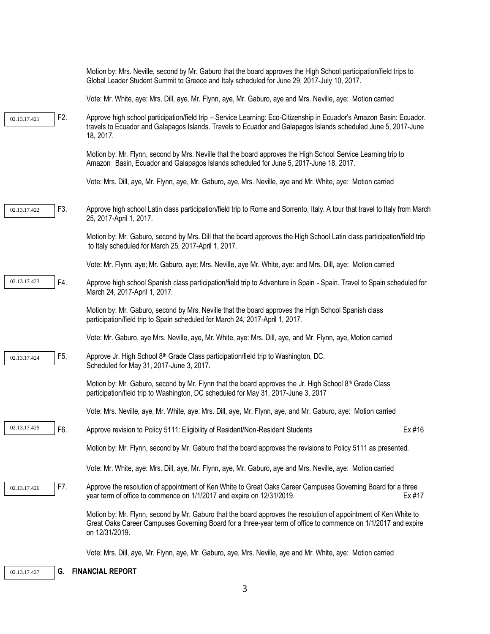|              |     | Motion by: Mrs. Neville, second by Mr. Gaburo that the board approves the High School participation/field trips to<br>Global Leader Student Summit to Greece and Italy scheduled for June 29, 2017-July 10, 2017.                                   |  |
|--------------|-----|-----------------------------------------------------------------------------------------------------------------------------------------------------------------------------------------------------------------------------------------------------|--|
|              |     | Vote: Mr. White, aye: Mrs. Dill, aye, Mr. Flynn, aye, Mr. Gaburo, aye and Mrs. Neville, aye: Motion carried                                                                                                                                         |  |
| 02.13.17.421 | F2. | Approve high school participation/field trip - Service Learning: Eco-Citizenship in Ecuador's Amazon Basin: Ecuador.<br>travels to Ecuador and Galapagos Islands. Travels to Ecuador and Galapagos Islands scheduled June 5, 2017-June<br>18, 2017. |  |
|              |     | Motion by: Mr. Flynn, second by Mrs. Neville that the board approves the High School Service Learning trip to<br>Amazon Basin, Ecuador and Galapagos Islands scheduled for June 5, 2017-June 18, 2017.                                              |  |
|              |     | Vote: Mrs. Dill, aye, Mr. Flynn, aye, Mr. Gaburo, aye, Mrs. Neville, aye and Mr. White, aye: Motion carried                                                                                                                                         |  |
| 02.13.17.422 | F3. | Approve high school Latin class participation/field trip to Rome and Sorrento, Italy. A tour that travel to Italy from March<br>25, 2017-April 1, 2017.                                                                                             |  |
|              |     | Motion by: Mr. Gaburo, second by Mrs. Dill that the board approves the High School Latin class participation/field trip<br>to Italy scheduled for March 25, 2017-April 1, 2017.                                                                     |  |
|              |     | Vote: Mr. Flynn, aye; Mr. Gaburo, aye; Mrs. Neville, aye Mr. White, aye: and Mrs. Dill, aye: Motion carried                                                                                                                                         |  |
| 02.13.17.423 | F4. | Approve high school Spanish class participation/field trip to Adventure in Spain - Spain. Travel to Spain scheduled for<br>March 24, 2017-April 1, 2017.                                                                                            |  |
|              |     | Motion by: Mr. Gaburo, second by Mrs. Neville that the board approves the High School Spanish class<br>participation/field trip to Spain scheduled for March 24, 2017-April 1, 2017.                                                                |  |
|              |     | Vote: Mr. Gaburo, aye Mrs. Neville, aye, Mr. White, aye: Mrs. Dill, aye, and Mr. Flynn, aye, Motion carried                                                                                                                                         |  |
| 02.13.17.424 | F5. | Approve Jr. High School 8 <sup>th</sup> Grade Class participation/field trip to Washington, DC.<br>Scheduled for May 31, 2017-June 3, 2017.                                                                                                         |  |
|              |     | Motion by: Mr. Gaburo, second by Mr. Flynn that the board approves the Jr. High School $8^{th}$ Grade Class<br>participation/field trip to Washington, DC scheduled for May 31, 2017-June 3, 2017                                                   |  |
|              |     | Vote: Mrs. Neville, aye, Mr. White, aye: Mrs. Dill, aye, Mr. Flynn, aye, and Mr. Gaburo, aye: Motion carried                                                                                                                                        |  |
| 02.13.17.425 | F6. | Approve revision to Policy 5111: Eligibility of Resident/Non-Resident Students<br>Ex #16                                                                                                                                                            |  |
|              |     | Motion by: Mr. Flynn, second by Mr. Gaburo that the board approves the revisions to Policy 5111 as presented.                                                                                                                                       |  |
|              |     | Vote: Mr. White, aye: Mrs. Dill, aye, Mr. Flynn, aye, Mr. Gaburo, aye and Mrs. Neville, aye: Motion carried                                                                                                                                         |  |
| 02.13.17.426 | F7. | Approve the resolution of appointment of Ken White to Great Oaks Career Campuses Governing Board for a three<br>year term of office to commence on 1/1/2017 and expire on 12/31/2019.<br>Ex #17                                                     |  |
|              |     | Motion by: Mr. Flynn, second by Mr. Gaburo that the board approves the resolution of appointment of Ken White to<br>Great Oaks Career Campuses Governing Board for a three-year term of office to commence on 1/1/2017 and expire<br>on 12/31/2019. |  |
|              |     | Vote: Mrs. Dill, aye, Mr. Flynn, aye, Mr. Gaburo, aye, Mrs. Neville, aye and Mr. White, aye: Motion carried                                                                                                                                         |  |
| 02.13.17.427 | G.  | <b>FINANCIAL REPORT</b>                                                                                                                                                                                                                             |  |